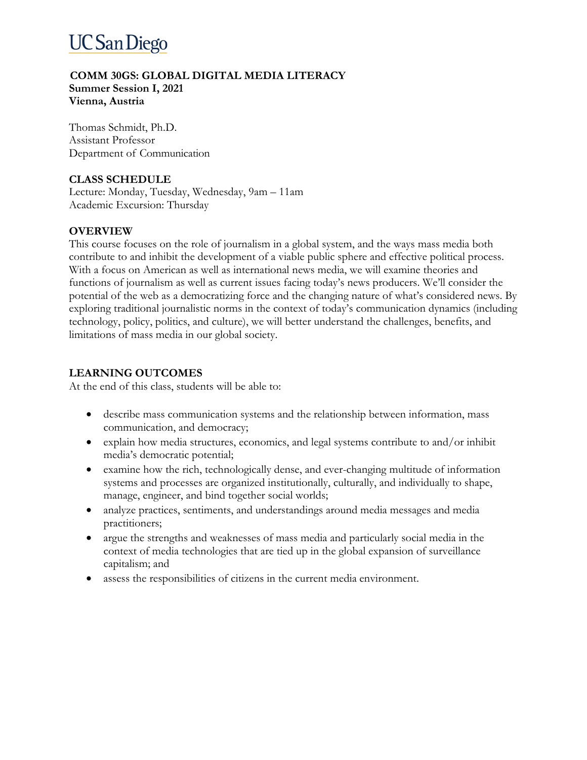# **UC San Diego**

#### **COMM 30GS: GLOBAL DIGITAL MEDIA LITERACY Summer Session I, 2021 Vienna, Austria**

Thomas Schmidt, Ph.D. Assistant Professor Department of Communication

## **CLASS SCHEDULE**

Lecture: Monday, Tuesday, Wednesday, 9am – 11am Academic Excursion: Thursday

### **OVERVIEW**

This course focuses on the role of journalism in a global system, and the ways mass media both contribute to and inhibit the development of a viable public sphere and effective political process. With a focus on American as well as international news media, we will examine theories and functions of journalism as well as current issues facing today's news producers. We'll consider the potential of the web as a democratizing force and the changing nature of what's considered news. By exploring traditional journalistic norms in the context of today's communication dynamics (including technology, policy, politics, and culture), we will better understand the challenges, benefits, and limitations of mass media in our global society.

### **LEARNING OUTCOMES**

At the end of this class, students will be able to:

- describe mass communication systems and the relationship between information, mass communication, and democracy;
- explain how media structures, economics, and legal systems contribute to and/or inhibit media's democratic potential;
- examine how the rich, technologically dense, and ever-changing multitude of information systems and processes are organized institutionally, culturally, and individually to shape, manage, engineer, and bind together social worlds;
- analyze practices, sentiments, and understandings around media messages and media practitioners;
- argue the strengths and weaknesses of mass media and particularly social media in the context of media technologies that are tied up in the global expansion of surveillance capitalism; and
- assess the responsibilities of citizens in the current media environment.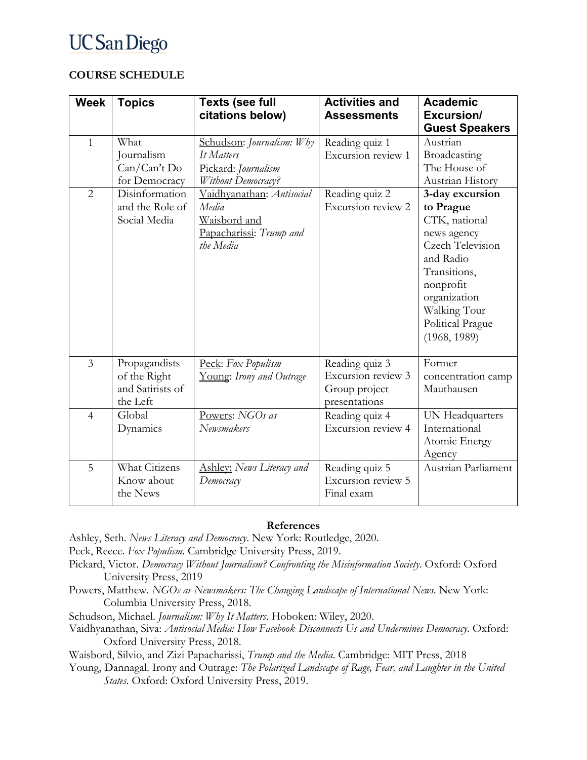# **UC San Diego**

### **COURSE SCHEDULE**

| <b>Week</b>    | <b>Topics</b>                                                 | <b>Texts (see full</b><br>citations below)                                                 | <b>Activities and</b><br><b>Assessments</b>                            | <b>Academic</b><br>Excursion/<br><b>Guest Speakers</b>                                                                                                                                                |
|----------------|---------------------------------------------------------------|--------------------------------------------------------------------------------------------|------------------------------------------------------------------------|-------------------------------------------------------------------------------------------------------------------------------------------------------------------------------------------------------|
| $\mathbf{1}$   | What<br>Journalism<br>Can/Can't Do<br>for Democracy           | Schudson: Journalism: Why<br>It Matters<br>Pickard: Journalism<br>Without Democracy?       | Reading quiz 1<br>Excursion review 1                                   | Austrian<br>Broadcasting<br>The House of<br>Austrian History                                                                                                                                          |
| $\overline{2}$ | Disinformation<br>and the Role of<br>Social Media             | Vaidhyanathan: Antisocial<br>Media<br>Waisbord and<br>Papacharissi: Trump and<br>the Media | Reading quiz 2<br>Excursion review 2                                   | 3-day excursion<br>to Prague<br>CTK, national<br>news agency<br><b>Czech Television</b><br>and Radio<br>Transitions,<br>nonprofit<br>organization<br>Walking Tour<br>Political Prague<br>(1968, 1989) |
| 3              | Propagandists<br>of the Right<br>and Satirists of<br>the Left | Peck: Fox Populism<br>Young: Irony and Outrage                                             | Reading quiz 3<br>Excursion review 3<br>Group project<br>presentations | Former<br>concentration camp<br>Mauthausen                                                                                                                                                            |
| $\overline{4}$ | Global<br>Dynamics                                            | Powers: NGOs as<br>Newsmakers                                                              | Reading quiz 4<br>Excursion review 4                                   | UN Headquarters<br>International<br>Atomic Energy<br>Agency                                                                                                                                           |
| 5              | <b>What Citizens</b><br>Know about<br>the News                | <b>Ashley:</b> News Literacy and<br>Democracy                                              | Reading quiz 5<br>Excursion review 5<br>Final exam                     | Austrian Parliament                                                                                                                                                                                   |

#### **References**

Ashley, Seth. *News Literacy and Democracy*. New York: Routledge, 2020.

- Peck, Reece. *Fox Populism*. Cambridge University Press, 2019.
- Pickard, Victor. *Democracy Without Journalism? Confronting the Misinformation Society*. Oxford: Oxford University Press, 2019
- Powers, Matthew. *NGOs as Newsmakers: The Changing Landscape of International News*. New York: Columbia University Press, 2018.
- Schudson, Michael. *Journalism: Why It Matters*. Hoboken: Wiley, 2020.
- Vaidhyanathan, Siva: *Antisocial Media: How Facebook Disconnects Us and Undermines Democracy*. Oxford: Oxford University Press, 2018.

Waisbord, Silvio, and Zizi Papacharissi, *Trump and the Media*. Cambridge: MIT Press, 2018

Young, Dannagal. Irony and Outrage: *The Polarized Landscape of Rage, Fear, and Laughter in the United States*. Oxford: Oxford University Press, 2019.